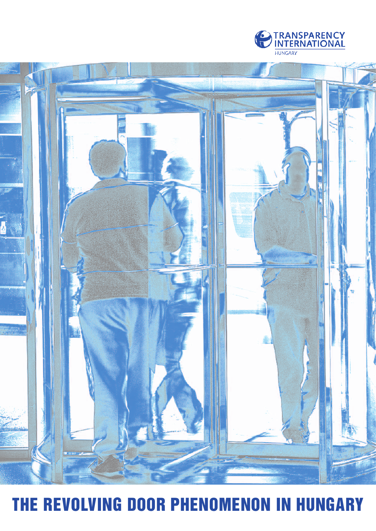



# THE REVOLVING DOOR PHENOMENON IN HUNGARY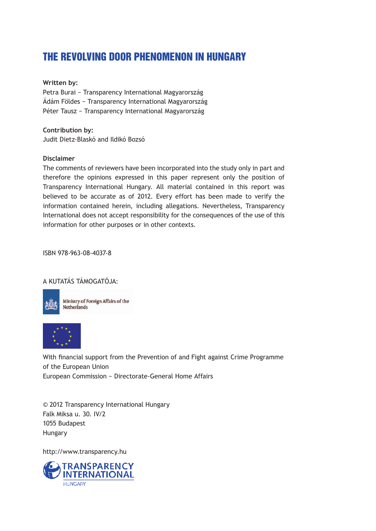### THE REVOLVING DOOR PHENOMENON IN HUNGARY

#### **Written by:**

Petra Burai − Transparency International Magyarország Ádám Földes − Transparency International Magyarország Péter Tausz − Transparency International Magyarország

**Contribution by:** Judit Dietz-Blaskó and Ildikó Bozsó

#### **Disclaimer**

The comments of reviewers have been incorporated into the study only in part and therefore the opinions expressed in this paper represent only the position of Transparency International Hungary. All material contained in this report was believed to be accurate as of 2012. Every effort has been made to verify the information contained herein, including allegations. Nevertheless, Transparency International does not accept responsibility for the consequences of the use of this information for other purposes or in other contexts.

ISBN 978-963-08-4037-8

#### A KUTATÁS TÁMOGATÓJA:



Ministry of Foreign Affairs of the **Netherlands** 



With financial support from the Prevention of and Fight against Crime Programme of the European Union European Commission − Directorate-General Home Affairs

© 2012 Transparency International Hungary Falk Miksa u. 30. IV/2 1055 Budapest Hungary

http://www.transparency.hu

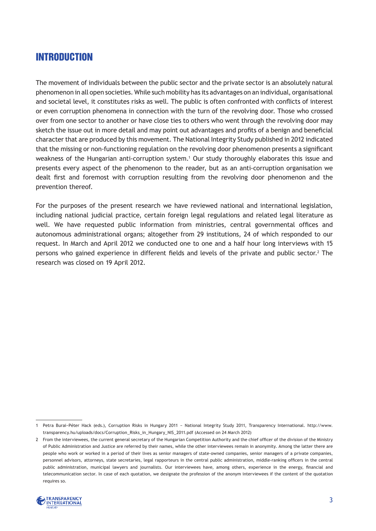### introduction

The movement of individuals between the public sector and the private sector is an absolutely natural phenomenon in all open societies. While such mobility has its advantages on an individual, organisational and societal level, it constitutes risks as well. The public is often confronted with conflicts of interest or even corruption phenomena in connection with the turn of the revolving door. Those who crossed over from one sector to another or have close ties to others who went through the revolving door may sketch the issue out in more detail and may point out advantages and profits of a benign and beneficial character that are produced by this movement. The National Integrity Study published in 2012 indicated that the missing or non-functioning regulation on the revolving door phenomenon presents a significant weakness of the Hungarian anti-corruption system.1 Our study thoroughly elaborates this issue and presents every aspect of the phenomenon to the reader, but as an anti-corruption organisation we dealt first and foremost with corruption resulting from the revolving door phenomenon and the prevention thereof.

For the purposes of the present research we have reviewed national and international legislation, including national judicial practice, certain foreign legal regulations and related legal literature as well. We have requested public information from ministries, central governmental offices and autonomous administrational organs; altogether from 29 institutions, 24 of which responded to our request. In March and April 2012 we conducted one to one and a half hour long interviews with 15 persons who gained experience in different fields and levels of the private and public sector.<sup>2</sup> The research was closed on 19 April 2012.

<sup>2</sup> From the interviewees, the current general secretary of the Hungarian Competition Authority and the chief officer of the division of the Ministry of Public Administration and Justice are referred by their names, while the other interviewees remain in anonymity. Among the latter there are people who work or worked in a period of their lives as senior managers of state-owned companies, senior managers of a private companies, personnel advisors, attorneys, state secretaries, legal rapporteurs in the central public administration, middle-ranking officers in the central public administration, municipal lawyers and journalists. Our interviewees have, among others, experience in the energy, financial and telecommunication sector. In case of each quotation, we designate the profession of the anonym interviewees if the content of the quotation requires so.



<sup>1</sup> Petra Burai−Péter Hack (eds.), Corruption Risks in Hungary 2011 − National Integrity Study 2011, Transparency International. http://www. transparency.hu/uploads/docs/Corruption\_Risks\_in\_Hungary\_NIS\_2011.pdf (Accessed on 24 March 2012)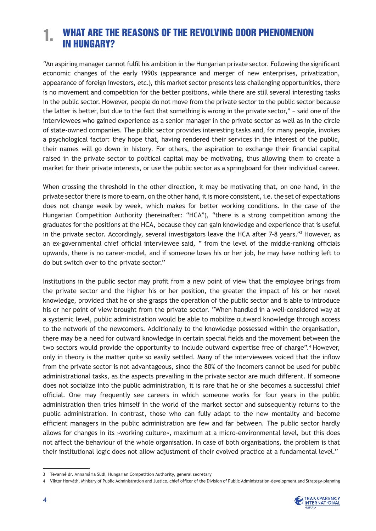#### What Are the Reasons of the Revolving Door Phenomenon in Hungary? 1.

"An aspiring manager cannot fulfil his ambition in the Hungarian private sector. Following the significant economic changes of the early 1990s (appearance and merger of new enterprises, privatization, appearance of foreign investors, etc.), this market sector presents less challenging opportunities, there is no movement and competition for the better positions, while there are still several interesting tasks in the public sector. However, people do not move from the private sector to the public sector because the latter is better, but due to the fact that something is wrong in the private sector," − said one of the interviewees who gained experience as a senior manager in the private sector as well as in the circle of state-owned companies. The public sector provides interesting tasks and, for many people, invokes a psychological factor: they hope that, having rendered their services in the interest of the public, their names will go down in history. For others, the aspiration to exchange their financial capital raised in the private sector to political capital may be motivating, thus allowing them to create a market for their private interests, or use the public sector as a springboard for their individual career.

When crossing the threshold in the other direction, it may be motivating that, on one hand, in the private sector there is more to earn, on the other hand, it is more consistent, i.e. the set of expectations does not change week by week, which makes for better working conditions. In the case of the Hungarian Competition Authority (hereinafter: "HCA"), "there is a strong competition among the graduates for the positions at the HCA, because they can gain knowledge and experience that is useful in the private sector. Accordingly, several investigators leave the HCA after 7-8 years."3 However, as an ex-governmental chief official interviewee said, " from the level of the middle-ranking officials upwards, there is no career-model, and if someone loses his or her job, he may have nothing left to do but switch over to the private sector."

Institutions in the public sector may profit from a new point of view that the employee brings from the private sector and the higher his or her position, the greater the impact of his or her novel knowledge, provided that he or she grasps the operation of the public sector and is able to introduce his or her point of view brought from the private sector. "When handled in a well-considered way at a systemic level, public administration would be able to mobilize outward knowledge through access to the network of the newcomers. Additionally to the knowledge possessed within the organisation, there may be a need for outward knowledge in certain special fields and the movement between the two sectors would provide the opportunity to include outward expertise free of charge".<sup>4</sup> However, only in theory is the matter quite so easily settled. Many of the interviewees voiced that the inflow from the private sector is not advantageous, since the 80% of the incomers cannot be used for public administrational tasks, as the aspects prevailing in the private sector are much different. If someone does not socialize into the public administration, it is rare that he or she becomes a successful chief official. One may frequently see careers in which someone works for four years in the public administration then tries himself in the world of the market sector and subsequently returns to the public administration. In contrast, those who can fully adapt to the new mentality and become efficient managers in the public administration are few and far between. The public sector hardly allows for changes in its »working culture«, maximum at a micro-environmental level, but this does not affect the behaviour of the whole organisation. In case of both organisations, the problem is that their institutional logic does not allow adjustment of their evolved practice at a fundamental level."

<sup>4</sup> Viktor Horváth, Ministry of Public Administration and Justice, chief officer of the Division of Public Administration-development and Strategy-planning



<sup>3</sup> Tevanné dr. Annamária Südi, Hungarian Competition Authority, general secretary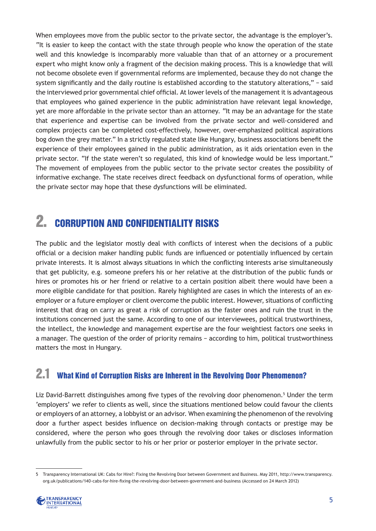When employees move from the public sector to the private sector, the advantage is the employer's. "It is easier to keep the contact with the state through people who know the operation of the state well and this knowledge is incomparably more valuable than that of an attorney or a procurement expert who might know only a fragment of the decision making process. This is a knowledge that will not become obsolete even if governmental reforms are implemented, because they do not change the system significantly and the daily routine is established according to the statutory alterations," − said the interviewed prior governmental chief official. At lower levels of the management it is advantageous that employees who gained experience in the public administration have relevant legal knowledge, yet are more affordable in the private sector than an attorney. "It may be an advantage for the state that experience and expertise can be involved from the private sector and well-considered and complex projects can be completed cost-effectively, however, over-emphasized political aspirations bog down the grey matter." In a strictly regulated state like Hungary, business associations benefit the experience of their employees gained in the public administration, as it aids orientation even in the private sector. "If the state weren't so regulated, this kind of knowledge would be less important." The movement of employees from the public sector to the private sector creates the possibility of informative exchange. The state receives direct feedback on dysfunctional forms of operation, while the private sector may hope that these dysfunctions will be eliminated.

## 2. Corruption and Confidentiality Risks

The public and the legislator mostly deal with conflicts of interest when the decisions of a public official or a decision maker handling public funds are influenced or potentially influenced by certain private interests. It is almost always situations in which the conflicting interests arise simultaneously that get publicity, e.g. someone prefers his or her relative at the distribution of the public funds or hires or promotes his or her friend or relative to a certain position albeit there would have been a more eligible candidate for that position. Rarely highlighted are cases in which the interests of an exemployer or a future employer or client overcome the public interest. However, situations of conflicting interest that drag on carry as great a risk of corruption as the faster ones and ruin the trust in the institutions concerned just the same. According to one of our interviewees, political trustworthiness, the intellect, the knowledge and management expertise are the four weightiest factors one seeks in a manager. The question of the order of priority remains − according to him, political trustworthiness matters the most in Hungary.

### 2.1 What Kind of Corruption Risks are Inherent in the Revolving Door Phenomenon?

Liz David-Barrett distinguishes among five types of the revolving door phenomenon.<sup>5</sup> Under the term 'employers' we refer to clients as well, since the situations mentioned below could favour the clients or employers of an attorney, a lobbyist or an advisor. When examining the phenomenon of the revolving door a further aspect besides influence on decision-making through contacts or prestige may be considered, where the person who goes through the revolving door takes or discloses information unlawfully from the public sector to his or her prior or posterior employer in the private sector.

<sup>5</sup> Transparency International UK: Cabs for Hire?: Fixing the Revolving Door between Government and Business. May 2011, http://www.transparency. org.uk/publications/140-cabs-for-hire-fixing-the-revolving-door-between-government-and-business (Accessed on 24 March 2012)

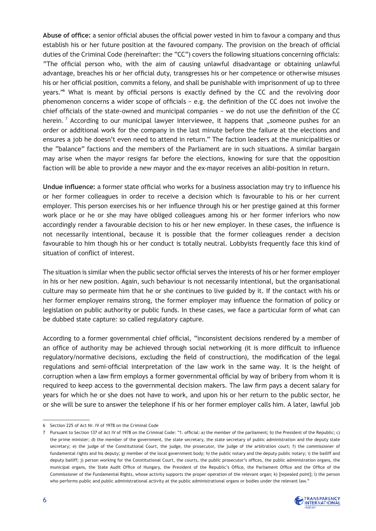**Abuse of office:** a senior official abuses the official power vested in him to favour a company and thus establish his or her future position at the favoured company. The provision on the breach of official duties of the Criminal Code (hereinafter: the "CC") covers the following situations concerning officials: "The official person who, with the aim of causing unlawful disadvantage or obtaining unlawful advantage, breaches his or her official duty, transgresses his or her competence or otherwise misuses his or her official position, commits a felony, and shall be punishable with imprisonment of up to three years."6 What is meant by official persons is exactly defined by the CC and the revolving door phenomenon concerns a wider scope of officials − e.g. the definition of the CC does not involve the chief officials of the state-owned and municipal companies − we do not use the definition of the CC herein.<sup>7</sup> According to our municipal lawyer interviewee, it happens that "someone pushes for an order or additional work for the company in the last minute before the failure at the elections and ensures a job he doesn't even need to attend in return." The faction leaders at the municipalities or the "balance" factions and the members of the Parliament are in such situations. A similar bargain may arise when the mayor resigns far before the elections, knowing for sure that the opposition faction will be able to provide a new mayor and the ex-mayor receives an alibi-position in return.

**Undue influence:** a former state official who works for a business association may try to influence his or her former colleagues in order to receive a decision which is favourable to his or her current employer. This person exercises his or her influence through his or her prestige gained at this former work place or he or she may have obliged colleagues among his or her former inferiors who now accordingly render a favourable decision to his or her new employer. In these cases, the influence is not necessarily intentional, because it is possible that the former colleagues render a decision favourable to him though his or her conduct is totally neutral. Lobbyists frequently face this kind of situation of conflict of interest.

The situation is similar when the public sector official serves the interests of his or her former employer in his or her new position. Again, such behaviour is not necessarily intentional, but the organisational culture may so permeate him that he or she continues to live guided by it. If the contact with his or her former employer remains strong, the former employer may influence the formation of policy or legislation on public authority or public funds. In these cases, we face a particular form of what can be dubbed state capture: so called regulatory capture.

According to a former governmental chief official, "inconsistent decisions rendered by a member of an office of authority may be achieved through social networking (it is more difficult to influence regulatory/normative decisions, excluding the field of construction), the modification of the legal regulations and semi-official interpretation of the law work in the same way. It is the height of corruption when a law firm employs a former governmental official by way of bribery from whom it is required to keep access to the governmental decision makers. The law firm pays a decent salary for years for which he or she does not have to work, and upon his or her return to the public sector, he or she will be sure to answer the telephone if his or her former employer calls him. A later, lawful job

<sup>7</sup> Pursuant to Section 137 of Act IV of 1978 on the Criminal Code: "1. official: a) the member of the parliament; b) the President of the Republic; c) the prime minister; d) the member of the government, the state secretary, the state secretary of public administration and the deputy state secretary; e) the judge of the Constitutional Court, the judge, the prosecutor, the judge of the arbitration court; f) the commissioner of fundamental rights and his deputy; g) member of the local government body; h) the public notary and the deputy public notary; i) the bailiff and deputy bailiff; j) person working for the Constitutional Court, the courts, the public prosecutor's offices, the public administration organs, the municipal organs, the State Audit Office of Hungary, the President of the Republic's Office, the Parliament Office and the Office of the Commissioner of the Fundamental Rights, whose activity supports the proper operation of the relevant organ; k) [repealed point]; l) the person who performs public and public administrational activity at the public administrational organs or bodies under the relevant law."



<sup>6</sup> Section 225 of Act Nr. IV of 1978 on the Criminal Code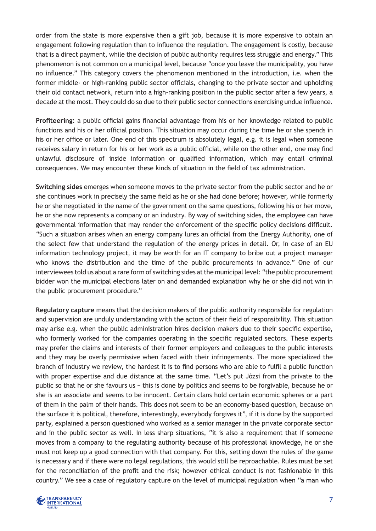order from the state is more expensive then a gift job, because it is more expensive to obtain an engagement following regulation than to influence the regulation. The engagement is costly, because that is a direct payment, while the decision of public authority requires less struggle and energy." This phenomenon is not common on a municipal level, because "once you leave the municipality, you have no influence." This category covers the phenomenon mentioned in the introduction, i.e. when the former middle- or high-ranking public sector officials, changing to the private sector and upholding their old contact network, return into a high-ranking position in the public sector after a few years, a decade at the most. They could do so due to their public sector connections exercising undue influence.

**Profiteering:** a public official gains financial advantage from his or her knowledge related to public functions and his or her official position. This situation may occur during the time he or she spends in his or her office or later. One end of this spectrum is absolutely legal, e.g. it is legal when someone receives salary in return for his or her work as a public official, while on the other end, one may find unlawful disclosure of inside information or qualified information, which may entail criminal consequences. We may encounter these kinds of situation in the field of tax administration.

**Switching sides** emerges when someone moves to the private sector from the public sector and he or she continues work in precisely the same field as he or she had done before; however, while formerly he or she negotiated in the name of the government on the same questions, following his or her move, he or she now represents a company or an industry. By way of switching sides, the employee can have governmental information that may render the enforcement of the specific policy decisions difficult. "Such a situation arises when an energy company lures an official from the Energy Authority, one of the select few that understand the regulation of the energy prices in detail. Or, in case of an EU information technology project, it may be worth for an IT company to bribe out a project manager who knows the distribution and the time of the public procurements in advance." One of our interviewees told us about a rare form of switching sides at the municipal level: "the public procurement bidder won the municipal elections later on and demanded explanation why he or she did not win in the public procurement procedure."

**Regulatory capture** means that the decision makers of the public authority responsible for regulation and supervision are unduly understanding with the actors of their field of responsibility. This situation may arise e.g. when the public administration hires decision makers due to their specific expertise, who formerly worked for the companies operating in the specific regulated sectors. These experts may prefer the claims and interests of their former employers and colleagues to the public interests and they may be overly permissive when faced with their infringements. The more specialized the branch of industry we review, the hardest it is to find persons who are able to fulfil a public function with proper expertise and due distance at the same time. "Let's put Józsi from the private to the public so that he or she favours us − this is done by politics and seems to be forgivable, because he or she is an associate and seems to be innocent. Certain clans hold certain economic spheres or a part of them in the palm of their hands. This does not seem to be an economy-based question, because on the surface it is political, therefore, interestingly, everybody forgives it", if it is done by the supported party, explained a person questioned who worked as a senior manager in the private corporate sector and in the public sector as well. In less sharp situations, "it is also a requirement that if someone moves from a company to the regulating authority because of his professional knowledge, he or she must not keep up a good connection with that company. For this, setting down the rules of the game is necessary and if there were no legal regulations, this would still be reproachable. Rules must be set for the reconciliation of the profit and the risk; however ethical conduct is not fashionable in this country." We see a case of regulatory capture on the level of municipal regulation when "a man who

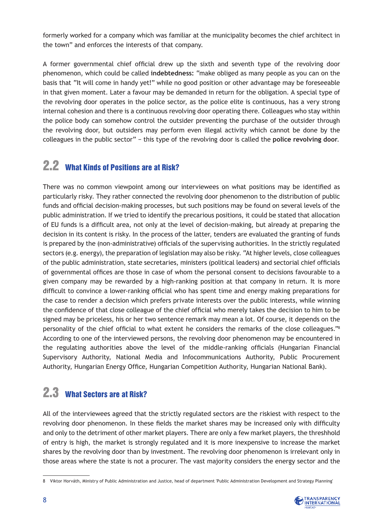formerly worked for a company which was familiar at the municipality becomes the chief architect in the town" and enforces the interests of that company.

A former governmental chief official drew up the sixth and seventh type of the revolving door phenomenon, which could be called **indebtedness:** "make obliged as many people as you can on the basis that "It will come in handy yet!" while no good position or other advantage may be foreseeable in that given moment. Later a favour may be demanded in return for the obligation. A special type of the revolving door operates in the police sector, as the police elite is continuous, has a very strong internal cohesion and there is a continuous revolving door operating there. Colleagues who stay within the police body can somehow control the outsider preventing the purchase of the outsider through the revolving door, but outsiders may perform even illegal activity which cannot be done by the colleagues in the public sector" − this type of the revolving door is called the **police revolving door**.

### 2.2 What Kinds of Positions are at Risk?

There was no common viewpoint among our interviewees on what positions may be identified as particularly risky. They rather connected the revolving door phenomenon to the distribution of public funds and official decision-making processes, but such positions may be found on several levels of the public administration. If we tried to identify the precarious positions, it could be stated that allocation of EU funds is a difficult area, not only at the level of decision-making, but already at preparing the decision in its content is risky. In the process of the latter, tenders are evaluated the granting of funds is prepared by the (non-administrative) officials of the supervising authorities. In the strictly regulated sectors (e.g. energy), the preparation of legislation may also be risky. "At higher levels, close colleagues of the public administration, state secretaries, ministers (political leaders) and sectorial chief officials of governmental offices are those in case of whom the personal consent to decisions favourable to a given company may be rewarded by a high-ranking position at that company in return. It is more difficult to convince a lower-ranking official who has spent time and energy making preparations for the case to render a decision which prefers private interests over the public interests, while winning the confidence of that close colleague of the chief official who merely takes the decision to him to be signed may be priceless, his or her two sentence remark may mean a lot. Of course, it depends on the personality of the chief official to what extent he considers the remarks of the close colleagues."8 According to one of the interviewed persons, the revolving door phenomenon may be encountered in the regulating authorities above the level of the middle-ranking officials (Hungarian Financial Supervisory Authority, National Media and Infocommunications Authority, Public Procurement Authority, Hungarian Energy Office, Hungarian Competition Authority, Hungarian National Bank).

### 2.3 What Sectors are at Risk?

All of the interviewees agreed that the strictly regulated sectors are the riskiest with respect to the revolving door phenomenon. In these fields the market shares may be increased only with difficulty and only to the detriment of other market players. There are only a few market players, the threshhold of entry is high, the market is strongly regulated and it is more inexpensive to increase the market shares by the revolving door than by investment. The revolving door phenomenon is irrelevant only in those areas where the state is not a procurer. The vast majority considers the energy sector and the

<sup>8</sup> Viktor Horváth, Ministry of Public Administration and Justice, head of department 'Public Administration Development and Strategy Planning'

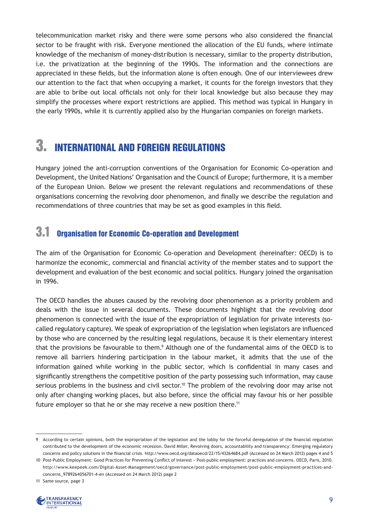telecommunication market risky and there were some persons who also considered the financial sector to be fraught with risk. Everyone mentioned the allocation of the EU funds, where intimate knowledge of the mechanism of money-distribution is necessary, similar to the property distribution, i.e. the privatization at the beginning of the 1990s. The information and the connections are appreciated in these fields, but the information alone is often enough. One of our interviewees drew our attention to the fact that when occupying a market, it counts for the foreign investors that they are able to bribe out local officials not only for their local knowledge but also because they may simplify the processes where export restrictions are applied. This method was typical in Hungary in the early 1990s, while it is currently applied also by the Hungarian companies on foreign markets.

## 3. International and Foreign Regulations

Hungary joined the anti-corruption conventions of the Organisation for Economic Co-operation and Development, the United Nations' Organisation and the Council of Europe; furthermore, it is a member of the European Union. Below we present the relevant regulations and recommendations of these organisations concerning the revolving door phenomenon, and finally we describe the regulation and recommendations of three countries that may be set as good examples in this field.

### 3.1 Organisation for Economic Co-operation and Development

The aim of the Organisation for Economic Co-operation and Development (hereinafter: OECD) is to harmonize the economic, commercial and financial activity of the member states and to support the development and evaluation of the best economic and social politics. Hungary joined the organisation in 1996.

The OECD handles the abuses caused by the revolving door phenomenon as a priority problem and deals with the issue in several documents. These documents highlight that the revolving door phenomenon is connected with the issue of the expropriation of legislation for private interests (socalled regulatory capture). We speak of expropriation of the legislation when legislators are influenced by those who are concerned by the resulting legal regulations, because it is their elementary interest that the provisions be favourable to them.<sup>9</sup> Although one of the fundamental aims of the OECD is to remove all barriers hindering participation in the labour market, it admits that the use of the information gained while working in the public sector, which is confidential in many cases and significantly strengthens the competitive position of the party possessing such information, may cause serious problems in the business and civil sector.<sup>10</sup> The problem of the revolving door may arise not only after changing working places, but also before, since the official may favour his or her possible future employer so that he or she may receive a new position there.<sup>11</sup>

<sup>11</sup> Same source, page 3



<sup>9</sup> According to certain opinions, both the expropriation of the legislation and the lobby for the forceful deregulation of the financial regulation contributed to the development of the economic recession. David Miller, Revolving doors, accountability and transparency: Emerging regulatory concerns and policy solutions in the financial crisis. http://www.oecd.org/dataoecd/22/15/43264684.pdf (Accessed on 24 March 2012) pages 4 and 5

<sup>10</sup> Post-Public Employment: Good Practices for Preventing Conflict of Interest − Post-public employment: practices and concerns. OECD, Paris, 2010. http://www.keepeek.com/Digital-Asset-Management/oecd/governance/post-public-employment/post-public-employment-practices-andconcerns\_9789264056701-4-en (Accessed on 24 March 2012) page 2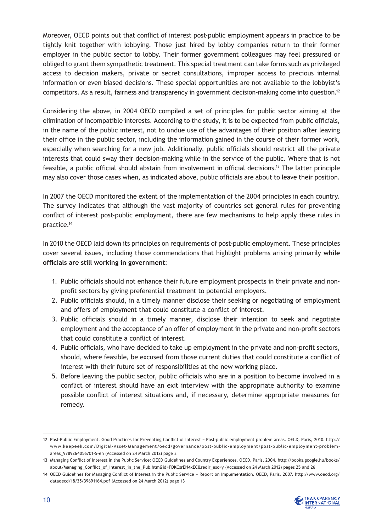Moreover, OECD points out that conflict of interest post-public employment appears in practice to be tightly knit together with lobbying. Those just hired by lobby companies return to their former employer in the public sector to lobby. Their former government colleagues may feel pressured or obliged to grant them sympathetic treatment. This special treatment can take forms such as privileged access to decision makers, private or secret consultations, improper access to precious internal information or even biased decisions. These special opportunities are not available to the lobbyist's competitors. As a result, fairness and transparency in government decision-making come into question.12

Considering the above, in 2004 OECD compiled a set of principles for public sector aiming at the elimination of incompatible interests. According to the study, it is to be expected from public officials, in the name of the public interest, not to undue use of the advantages of their position after leaving their office in the public sector, including the information gained in the course of their former work, especially when searching for a new job. Additionally, public officials should restrict all the private interests that could sway their decision-making while in the service of the public. Where that is not feasible, a public official should abstain from involvement in official decisions.13 The latter principle may also cover those cases when, as indicated above, public officials are about to leave their position.

In 2007 the OECD monitored the extent of the implementation of the 2004 principles in each country. The survey indicates that although the vast majority of countries set general rules for preventing conflict of interest post-public employment, there are few mechanisms to help apply these rules in practice.14

In 2010 the OECD laid down its principles on requirements of post-public employment. These principles cover several issues, including those commendations that highlight problems arising primarily **while officials are still working in government**:

- 1. Public officials should not enhance their future employment prospects in their private and nonprofit sectors by giving preferential treatment to potential employers.
- 2. Public officials should, in a timely manner disclose their seeking or negotiating of employment and offers of employment that could constitute a conflict of interest.
- 3. Public officials should in a timely manner, disclose their intention to seek and negotiate employment and the acceptance of an offer of employment in the private and non-profit sectors that could constitute a conflict of interest.
- 4. Public officials, who have decided to take up employment in the private and non-profit sectors, should, where feasible, be excused from those current duties that could constitute a conflict of interest with their future set of responsibilities at the new working place.
- 5. Before leaving the public sector, public officials who are in a position to become involved in a conflict of interest should have an exit interview with the appropriate authority to examine possible conflict of interest situations and, if necessary, determine appropriate measures for remedy.

<sup>14</sup> OECD Guidelines for Managing Conflict of Interest in the Public Service − Report on Implementation. OECD, Paris, 2007. http://www.oecd.org/ dataoecd/18/35/39691164.pdf (Accessed on 24 March 2012) page 13



<sup>12</sup> Post-Public Employment: Good Practices for Preventing Conflict of Interest − Post-public employment problem areas. OECD, Paris, 2010. http:// www.keepeek.com/Digital-Asset-Management/oecd/governance/post-public-employment/post-public-employment-problemareas\_9789264056701-5-en (Accessed on 24 March 2012) page 3

<sup>13</sup> Managing Conflict of Interest in the Public Service: OECD Guidelines and Country Experiences. OECD, Paris, 2004. http://books.google.hu/books/ about/Managing\_Conflict\_of\_Interest\_in\_the\_Pub.html?id=FDKCsrEN4xEC&redir\_esc=y (Accessed on 24 March 2012) pages 25 and 26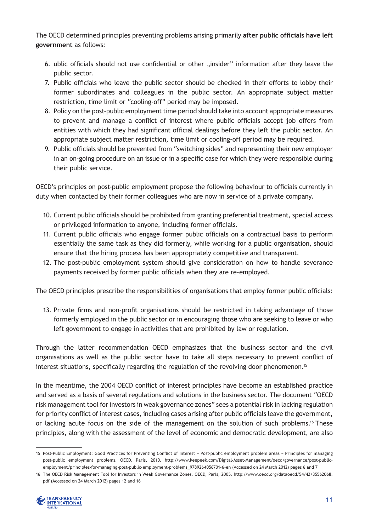The OECD determined principles preventing problems arising primarily **after public officials have left government** as follows:

- 6. ublic officials should not use confidential or other "insider" information after they leave the public sector.
- 7. Public officials who leave the public sector should be checked in their efforts to lobby their former subordinates and colleagues in the public sector. An appropriate subject matter restriction, time limit or "cooling-off" period may be imposed.
- 8. Policy on the post-public employment time period should take into account appropriate measures to prevent and manage a conflict of interest where public officials accept job offers from entities with which they had significant official dealings before they left the public sector. An appropriate subject matter restriction, time limit or cooling-off period may be required.
- 9. Public officials should be prevented from "switching sides" and representing their new employer in an on-going procedure on an issue or in a specific case for which they were responsible during their public service.

OECD's principles on post-public employment propose the following behaviour to officials currently in duty when contacted by their former colleagues who are now in service of a private company.

- 10. Current public officials should be prohibited from granting preferential treatment, special access or privileged information to anyone, including former officials.
- 11. Current public officials who engage former public officials on a contractual basis to perform essentially the same task as they did formerly, while working for a public organisation, should ensure that the hiring process has been appropriately competitive and transparent.
- 12. The post-public employment system should give consideration on how to handle severance payments received by former public officials when they are re-employed.

The OECD principles prescribe the responsibilities of organisations that employ former public officials:

13. Private firms and non-profit organisations should be restricted in taking advantage of those formerly employed in the public sector or in encouraging those who are seeking to leave or who left government to engage in activities that are prohibited by law or regulation.

Through the latter recommendation OECD emphasizes that the business sector and the civil organisations as well as the public sector have to take all steps necessary to prevent conflict of interest situations, specifically regarding the regulation of the revolving door phenomenon.<sup>15</sup>

In the meantime, the 2004 OECD conflict of interest principles have become an established practice and served as a basis of several regulations and solutions in the business sector. The document "OECD risk management tool for investors in weak governance zones" sees a potential risk in lacking regulation for priority conflict of interest cases, including cases arising after public officials leave the government, or lacking acute focus on the side of the management on the solution of such problems.<sup>16</sup> These principles, along with the assessment of the level of economic and democratic development, are also

<sup>16</sup> The OECD Risk Management Tool for Investors in Weak Governance Zones. OECD, Paris, 2005. http://www.oecd.org/dataoecd/54/42/35562068. pdf (Accessed on 24 March 2012) pages 12 and 16



<sup>15</sup> Post-Public Employment: Good Practices for Preventing Conflict of Interest − Post-public employment problem areas − Principles for managing post-public employment problems. OECD, Paris, 2010. http://www.keepeek.com/Digital-Asset-Management/oecd/governance/post-publicemployment/principles-for-managing-post-public-employment-problems\_9789264056701-6-en (Accessed on 24 March 2012) pages 6 and 7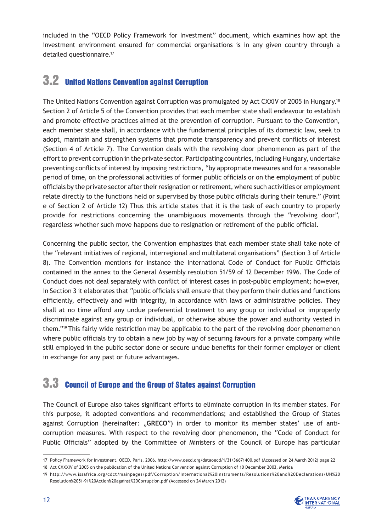included in the "OECD Policy Framework for Investment" document, which examines how apt the investment environment ensured for commercial organisations is in any given country through a detailed questionnaire.17

### 3.2 United Nations Convention against Corruption

The United Nations Convention against Corruption was promulgated by Act CXXIV of 2005 in Hungary.18 Section 2 of Article 5 of the Convention provides that each member state shall endeavour to establish and promote effective practices aimed at the prevention of corruption. Pursuant to the Convention, each member state shall, in accordance with the fundamental principles of its domestic law, seek to adopt, maintain and strengthen systems that promote transparency and prevent conflicts of interest (Section 4 of Article 7). The Convention deals with the revolving door phenomenon as part of the effort to prevent corruption in the private sector. Participating countries, including Hungary, undertake preventing conflicts of interest by imposing restrictions, "by appropriate measures and for a reasonable period of time, on the professional activities of former public officials or on the employment of public officials by the private sector after their resignation or retirement, where such activities or employment relate directly to the functions held or supervised by those public officials during their tenure." (Point e of Section 2 of Article 12) Thus this article states that it is the task of each country to properly provide for restrictions concerning the unambiguous movements through the "revolving door", regardless whether such move happens due to resignation or retirement of the public official.

Concerning the public sector, the Convention emphasizes that each member state shall take note of the "relevant initiatives of regional, interregional and multilateral organisations" (Section 3 of Article 8). The Convention mentions for instance the International Code of Conduct for Public Officials contained in the annex to the General Assembly resolution 51/59 of 12 December 1996. The Code of Conduct does not deal separately with conflict of interest cases in post-public employment; however, in Section 3 it elaborates that "public officials shall ensure that they perform their duties and functions efficiently, effectively and with integrity, in accordance with laws or administrative policies. They shall at no time afford any undue preferential treatment to any group or individual or improperly discriminate against any group or individual, or otherwise abuse the power and authority vested in them."19 This fairly wide restriction may be applicable to the part of the revolving door phenomenon where public officials try to obtain a new job by way of securing favours for a private company while still employed in the public sector done or secure undue benefits for their former employer or client in exchange for any past or future advantages.

### 3.3 Council of Europe and the Group of States against Corruption

The Council of Europe also takes significant efforts to eliminate corruption in its member states. For this purpose, it adopted conventions and recommendations; and established the Group of States against Corruption (hereinafter: "**GRECO**") in order to monitor its member states' use of anticorruption measures. With respect to the revolving door phenomenon, the "Code of Conduct for Public Officials" adopted by the Committee of Ministers of the Council of Europe has particular

<sup>19</sup> http://www.issafrica.org/cdct/mainpages/pdf/Corruption/International%20Instruments/Resolutions%20and%20Declarations/UN%20 Resolution%2051-91%20Action%20against%20Corruption.pdf (Accessed on 24 March 2012)



<sup>17</sup> Policy Framework for Investment. OECD, Paris, 2006. http://www.oecd.org/dataoecd/1/31/36671400.pdf (Accessed on 24 March 2012) page 22

<sup>18</sup> Act CXXXIV of 2005 on the publication of the United Nations Convention against Corruption of 10 December 2003, Merida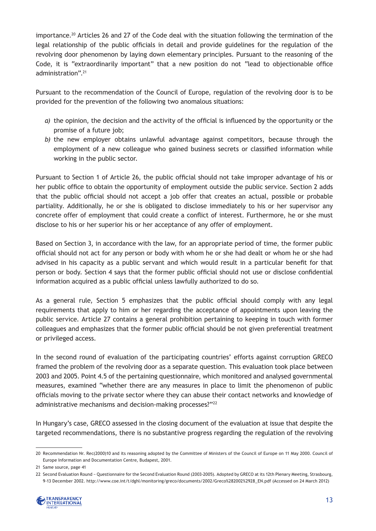importance.20 Articles 26 and 27 of the Code deal with the situation following the termination of the legal relationship of the public officials in detail and provide guidelines for the regulation of the revolving door phenomenon by laying down elementary principles. Pursuant to the reasoning of the Code, it is "extraordinarily important" that a new position do not "lead to objectionable office administration".21

Pursuant to the recommendation of the Council of Europe, regulation of the revolving door is to be provided for the prevention of the following two anomalous situations:

- *a)* the opinion, the decision and the activity of the official is influenced by the opportunity or the promise of a future job;
- *b)* the new employer obtains unlawful advantage against competitors, because through the employment of a new colleague who gained business secrets or classified information while working in the public sector.

Pursuant to Section 1 of Article 26, the public official should not take improper advantage of his or her public office to obtain the opportunity of employment outside the public service. Section 2 adds that the public official should not accept a job offer that creates an actual, possible or probable partiality. Additionally, he or she is obligated to disclose immediately to his or her supervisor any concrete offer of employment that could create a conflict of interest. Furthermore, he or she must disclose to his or her superior his or her acceptance of any offer of employment.

Based on Section 3, in accordance with the law, for an appropriate period of time, the former public official should not act for any person or body with whom he or she had dealt or whom he or she had advised in his capacity as a public servant and which would result in a particular benefit for that person or body. Section 4 says that the former public official should not use or disclose confidential information acquired as a public official unless lawfully authorized to do so.

As a general rule, Section 5 emphasizes that the public official should comply with any legal requirements that apply to him or her regarding the acceptance of appointments upon leaving the public service. Article 27 contains a general prohibition pertaining to keeping in touch with former colleagues and emphasizes that the former public official should be not given preferential treatment or privileged access.

In the second round of evaluation of the participating countries' efforts against corruption GRECO framed the problem of the revolving door as a separate question. This evaluation took place between 2003 and 2005. Point 4.5 of the pertaining questionnaire, which monitored and analysed governmental measures, examined "whether there are any measures in place to limit the phenomenon of public officials moving to the private sector where they can abuse their contact networks and knowledge of administrative mechanisms and decision-making processes?"<sup>22</sup>

In Hungary's case, GRECO assessed in the closing document of the evaluation at issue that despite the targeted recommendations, there is no substantive progress regarding the regulation of the revolving

<sup>22</sup> Second Evaluation Round − Questionnaire for the Second Evaluation Round (2003-2005). Adopted by GRECO at its 12th Plenary Meeting, Strasbourg, 9-13 December 2002. http://www.coe.int/t/dghl/monitoring/greco/documents/2002/Greco%282002%2928\_EN.pdf (Accessed on 24 March 2012)



<sup>20</sup> Recommendation Nr. Rec(2000)10 and its reasoning adopted by the Committee of Ministers of the Council of Europe on 11 May 2000. Council of Europe Information and Documentation Centre, Budapest, 2001.

<sup>21</sup> Same source, page 41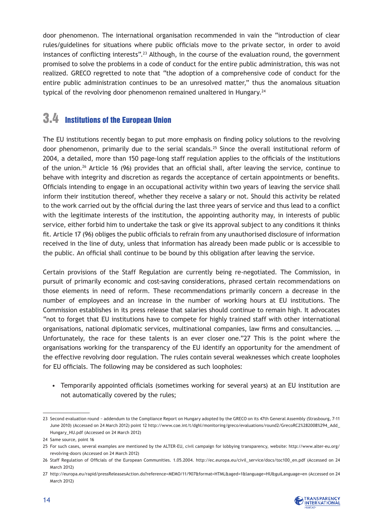door phenomenon. The international organisation recommended in vain the "introduction of clear rules/guidelines for situations where public officials move to the private sector, in order to avoid instances of conflicting interests".23 Although, in the course of the evaluation round, the government promised to solve the problems in a code of conduct for the entire public administration, this was not realized. GRECO regretted to note that "the adoption of a comprehensive code of conduct for the entire public administration continues to be an unresolved matter," thus the anomalous situation typical of the revolving door phenomenon remained unaltered in Hungary.<sup>24</sup>

### 3.4 Institutions of the European Union

The EU institutions recently began to put more emphasis on finding policy solutions to the revolving door phenomenon, primarily due to the serial scandals.<sup>25</sup> Since the overall institutional reform of 2004, a detailed, more than 150 page-long staff regulation applies to the officials of the institutions of the union.26 Article 16 (96) provides that an official shall, after leaving the service, continue to behave with integrity and discretion as regards the acceptance of certain appointments or benefits. Officials intending to engage in an occupational activity within two years of leaving the service shall inform their institution thereof, whether they receive a salary or not. Should this activity be related to the work carried out by the official during the last three years of service and thus lead to a conflict with the legitimate interests of the institution, the appointing authority may, in interests of public service, either forbid him to undertake the task or give its approval subject to any conditions it thinks fit. Article 17 (96) obliges the public officials to refrain from any unauthorised disclosure of information received in the line of duty, unless that information has already been made public or is accessible to the public. An official shall continue to be bound by this obligation after leaving the service.

Certain provisions of the Staff Regulation are currently being re-negotiated. The Commission, in pursuit of primarily economic and cost-saving considerations, phrased certain recommendations on those elements in need of reform. These recommendations primarily concern a decrease in the number of employees and an increase in the number of working hours at EU institutions. The Commission establishes in its press release that salaries should continue to remain high. It advocates "not to forget that EU institutions have to compete for highly trained staff with other international organisations, national diplomatic services, multinational companies, law firms and consultancies. … Unfortunately, the race for these talents is an ever closer one."27 This is the point where the organisations working for the transparency of the EU identify an opportunity for the amendment of the effective revolving door regulation. The rules contain several weaknesses which create loopholes for EU officials. The following may be considered as such loopholes:

• Temporarily appointed officials (sometimes working for several years) at an EU institution are not automatically covered by the rules;

<sup>27</sup> http://europa.eu/rapid/pressReleasesAction.do?reference=MEMO/11/907&format=HTML&aged=1&language=HU&guiLanguage=en (Accessed on 24 March 2012)



<sup>23</sup> Second evaluation round − addendum to the Compliance Report on Hungary adopted by the GRECO on its 47th General Assembly (Strasbourg, 7-11 June 2010) (Accessed on 24 March 2012) point 12 http://www.coe.int/t/dghl/monitoring/greco/evaluations/round2/GrecoRC2%282008%294\_Add\_ Hungary\_HU.pdf (Accessed on 24 March 2012)

<sup>24</sup> Same source, point 16

<sup>25</sup> For such cases, several examples are mentioned by the ALTER-EU, civil campaign for lobbying transparency, website: http://www.alter-eu.org/ revolving-doors (Accessed on 24 March 2012)

<sup>26</sup> Staff Regulation of Officials of the European Communities. 1.05.2004. http://ec.europa.eu/civil\_service/docs/toc100\_en.pdf (Accessed on 24 March 2012)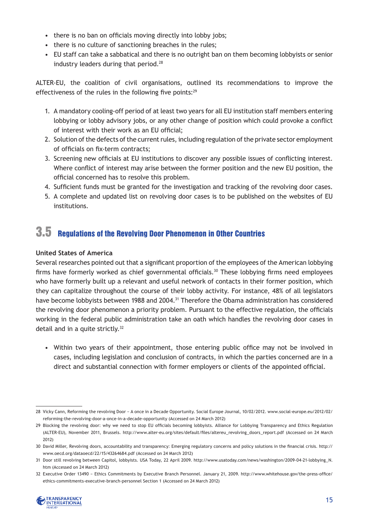- there is no ban on officials moving directly into lobby jobs;
- there is no culture of sanctioning breaches in the rules;
- • EU staff can take a sabbatical and there is no outright ban on them becoming lobbyists or senior industry leaders during that period.<sup>28</sup>

ALTER-EU, the coalition of civil organisations, outlined its recommendations to improve the effectiveness of the rules in the following five points:<sup>29</sup>

- 1. A mandatory cooling-off period of at least two years for all EU institution staff members entering lobbying or lobby advisory jobs, or any other change of position which could provoke a conflict of interest with their work as an EU official;
- 2. Solution of the defects of the current rules, including regulation of the private sector employment of officials on fix-term contracts;
- 3. Screening new officials at EU institutions to discover any possible issues of conflicting interest. Where conflict of interest may arise between the former position and the new EU position, the official concerned has to resolve this problem.
- 4. Sufficient funds must be granted for the investigation and tracking of the revolving door cases.
- 5. A complete and updated list on revolving door cases is to be published on the websites of EU institutions.

### 3.5 Regulations of the Revolving Door Phenomenon in Other Countries

#### **United States of America**

Several researches pointed out that a significant proportion of the employees of the American lobbying firms have formerly worked as chief governmental officials.<sup>30</sup> These lobbying firms need employees who have formerly built up a relevant and useful network of contacts in their former position, which they can capitalize throughout the course of their lobby activity. For instance, 48% of all legislators have become lobbyists between 1988 and 2004.<sup>31</sup> Therefore the Obama administration has considered the revolving door phenomenon a priority problem. Pursuant to the effective regulation, the officials working in the federal public administration take an oath which handles the revolving door cases in detail and in a quite strictly.<sup>32</sup>

• Within two years of their appointment, those entering public office may not be involved in cases, including legislation and conclusion of contracts, in which the parties concerned are in a direct and substantial connection with former employers or clients of the appointed official.

<sup>32</sup> Executive Order 13490 − Ethics Commitments by Executive Branch Personnel. January 21, 2009. http://www.whitehouse.gov/the-press-office/ ethics-commitments-executive-branch-personnel Section 1 (Accessed on 24 March 2012)



<sup>28</sup> Vicky Cann, Reforming the revolving Door − A once in a Decade Opportunity. Social Europe Journal, 10/02/2012. www.social-europe.eu/2012/02/ reforming-the-revolving-door-a-once-in-a-decade-opportunity (Accessed on 24 March 2012)

<sup>29</sup> Blocking the revolving door: why we need to stop EU officials becoming lobbyists. Alliance for Lobbying Transparency and Ethics Regulation (ALTER-EU), November 2011, Brussels. http://www.alter-eu.org/sites/default/files/altereu revolving doors report.pdf (Accessed on 24 March 2012)

<sup>30</sup> David Miller, Revolving doors, accountability and transparency: Emerging regulatory concerns and policy solutions in the financial crisis. http:// www.oecd.org/dataoecd/22/15/43264684.pdf (Accessed on 24 March 2012)

<sup>31</sup> Door still revolving between Capitol, lobbyists. USA Today, 22 April 2009. http://www.usatoday.com/news/washington/2009-04-21-lobbying\_N. htm (Accessed on 24 March 2012)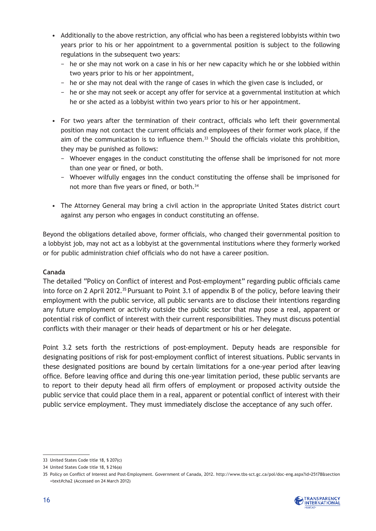- • Additionally to the above restriction, any official who has been a registered lobbyists within two years prior to his or her appointment to a governmental position is subject to the following regulations in the subsequent two years:
	- − he or she may not work on a case in his or her new capacity which he or she lobbied within two years prior to his or her appointment,
	- − he or she may not deal with the range of cases in which the given case is included, or
	- − he or she may not seek or accept any offer for service at a governmental institution at which he or she acted as a lobbyist within two years prior to his or her appointment.
- For two years after the termination of their contract, officials who left their governmental position may not contact the current officials and employees of their former work place, if the aim of the communication is to influence them.<sup>33</sup> Should the officials violate this prohibition, they may be punished as follows:
	- − Whoever engages in the conduct constituting the offense shall be imprisoned for not more than one year or fined, or both.
	- − Whoever wilfully engages inn the conduct constituting the offense shall be imprisoned for not more than five years or fined, or both.<sup>34</sup>
- The Attorney General may bring a civil action in the appropriate United States district court against any person who engages in conduct constituting an offense.

Beyond the obligations detailed above, former officials, who changed their governmental position to a lobbyist job, may not act as a lobbyist at the governmental institutions where they formerly worked or for public administration chief officials who do not have a career position.

#### **Canada**

The detailed "Policy on Conflict of interest and Post-employment" regarding public officials came into force on 2 April 2012.<sup>35</sup> Pursuant to Point 3.1 of appendix B of the policy, before leaving their employment with the public service, all public servants are to disclose their intentions regarding any future employment or activity outside the public sector that may pose a real, apparent or potential risk of conflict of interest with their current responsibilities. They must discuss potential conflicts with their manager or their heads of department or his or her delegate.

Point 3.2 sets forth the restrictions of post-employment. Deputy heads are responsible for designating positions of risk for post-employment conflict of interest situations. Public servants in these designated positions are bound by certain limitations for a one-year period after leaving office. Before leaving office and during this one-year limitation period, these public servants are to report to their deputy head all firm offers of employment or proposed activity outside the public service that could place them in a real, apparent or potential conflict of interest with their public service employment. They must immediately disclose the acceptance of any such offer.

<sup>35</sup> Policy on Conflict of Interest and Post-Employment. Government of Canada, 2012. http://www.tbs-sct.gc.ca/pol/doc-eng.aspx?id=25178&section =text#cha2 (Accessed on 24 March 2012)



<sup>33</sup> United States Code title 18, § 207(c)

<sup>34</sup> United States Code title 18, § 216(a)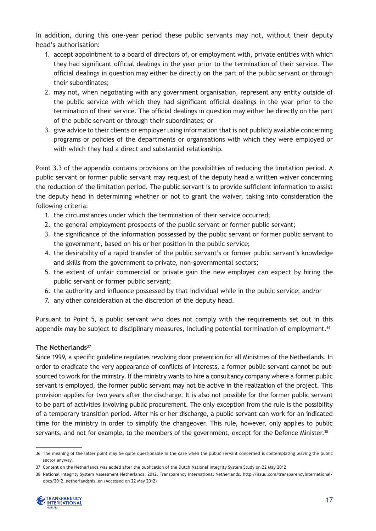In addition, during this one-year period these public servants may not, without their deputy head's authorisation:

- 1. accept appointment to a board of directors of, or employment with, private entities with which they had significant official dealings in the year prior to the termination of their service. The official dealings in question may either be directly on the part of the public servant or through their subordinates;
- 2. may not, when negotiating with any government organisation, represent any entity outside of the public service with which they had significant official dealings in the year prior to the termination of their service. The official dealings in question may either be directly on the part of the public servant or through their subordinates; or
- 3. give advice to their clients or employer using information that is not publicly available concerning programs or policies of the departments or organisations with which they were employed or with which they had a direct and substantial relationship.

Point 3.3 of the appendix contains provisions on the possibilities of reducing the limitation period. A public servant or former public servant may request of the deputy head a written waiver concerning the reduction of the limitation period. The public servant is to provide sufficient information to assist the deputy head in determining whether or not to grant the waiver, taking into consideration the following criteria:

- 1. the circumstances under which the termination of their service occurred;
- 2. the general employment prospects of the public servant or former public servant;
- 3. the significance of the information possessed by the public servant or former public servant to the government, based on his or her position in the public service;
- 4. the desirability of a rapid transfer of the public servant's or former public servant's knowledge and skills from the government to private, non-governmental sectors;
- 5. the extent of unfair commercial or private gain the new employer can expect by hiring the public servant or former public servant;
- 6. the authority and influence possessed by that individual while in the public service; and/or
- 7. any other consideration at the discretion of the deputy head.

Pursuant to Point 5, a public servant who does not comply with the requirements set out in this appendix may be subject to disciplinary measures, including potential termination of employment.<sup>36</sup>

#### **The Netherlands37**

Since 1999, a specific guideline regulates revolving door prevention for all Ministries of the Netherlands. In order to eradicate the very appearance of conflicts of interests, a former public servant cannot be outsourced to work for the ministry. If the ministry wants to hire a consultancy company where a former public servant is employed, the former public servant may not be active in the realization of the project. This provision applies for two years after the discharge. It is also not possible for the former public servant to be part of activities involving public procurement. The only exception from the rule is the possibility of a temporary transition period. After his or her discharge, a public servant can work for an indicated time for the ministry in order to simplify the changeover. This rule, however, only applies to public servants, and not for example, to the members of the government, except for the Defence Minister.<sup>38</sup>

<sup>38</sup> National Integrity System Assessment Netherlands, 2012. Transparency International Netherlands. http://issuu.com/transparencyinternational/ docs/2012\_netherlandsnis\_en (Accessed on 22 May 2012)



<sup>36</sup> The meaning of the latter point may be quite questionable in the case when the public servant concerned is contemplating leaving the public sector anyway.

<sup>37</sup> Content on the Netherlands was added after the publication of the Dutch National Integrity System Study on 22 May 2012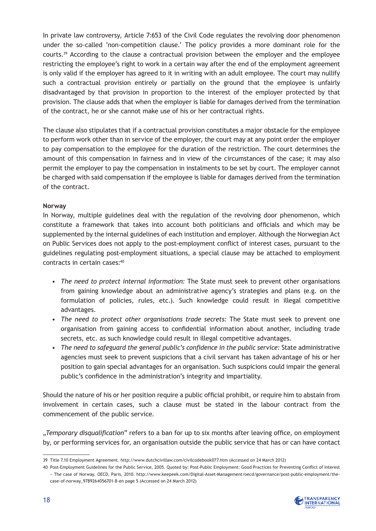In private law controversy, Article 7:653 of the Civil Code regulates the revolving door phenomenon under the so-called 'non-competition clause.' The policy provides a more dominant role for the courts.39 According to the clause a contractual provision between the employer and the employee restricting the employee's right to work in a certain way after the end of the employment agreement is only valid if the employer has agreed to it in writing with an adult employee. The court may nullify such a contractual provision entirely or partially on the ground that the employee is unfairly disadvantaged by that provision in proportion to the interest of the employer protected by that provision. The clause adds that when the employer is liable for damages derived from the termination of the contract, he or she cannot make use of his or her contractual rights.

The clause also stipulates that if a contractual provision constitutes a major obstacle for the employee to perform work other than in service of the employer, the court may at any point order the employer to pay compensation to the employee for the duration of the restriction. The court determines the amount of this compensation in fairness and in view of the circumstances of the case; it may also permit the employer to pay the compensation in instalments to be set by court. The employer cannot be charged with said compensation if the employee is liable for damages derived from the termination of the contract.

#### **Norway**

In Norway, multiple guidelines deal with the regulation of the revolving door phenomenon, which constitute a framework that takes into account both politicians and officials and which may be supplemented by the internal guidelines of each institution and employer. Although the Norwegian Act on Public Services does not apply to the post-employment conflict of interest cases, pursuant to the guidelines regulating post-employment situations, a special clause may be attached to employment contracts in certain cases:40

- • *The need to protect internal information:* The State must seek to prevent other organisations from gaining knowledge about an administrative agency's strategies and plans (e.g. on the formulation of policies, rules, etc.). Such knowledge could result in illegal competitive advantages.
- • *The need to protect other organisations trade secrets:* The State must seek to prevent one organisation from gaining access to confidential information about another, including trade secrets, etc. as such knowledge could result in illegal competitive advantages.
- The need to safeguard the general public's confidence in the public service: State administrative agencies must seek to prevent suspicions that a civil servant has taken advantage of his or her position to gain special advantages for an organisation. Such suspicions could impair the general public's confidence in the administration's integrity and impartiality.

Should the nature of his or her position require a public official prohibit, or require him to abstain from involvement in certain cases, such a clause must be stated in the labour contract from the commencement of the public service.

*"Temporary disqualification"* refers to a ban for up to six months after leaving office, on employment by, or performing services for, an organisation outside the public service that has or can have contact

<sup>40</sup> Post-Employment Guidelines for the Public Service, 2005. Quoted by: Post-Public Employment: Good Practices for Preventing Conflict of Interest − The case of Norway. OECD, Paris, 2010. http://www.keepeek.com/Digital-Asset-Management/oecd/governance/post-public-employment/thecase-of-norway\_9789264056701-8-en page 5 (Accessed on 24 March 2012)



<sup>39</sup> Title 7.10 Employment Agreement. http://www.dutchcivillaw.com/civilcodebook077.htm (Accessed on 24 March 2012)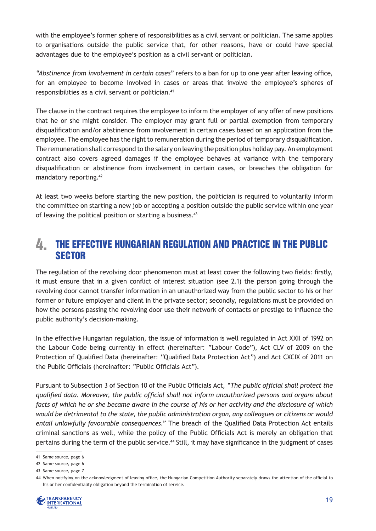with the employee's former sphere of responsibilities as a civil servant or politician. The same applies to organisations outside the public service that, for other reasons, have or could have special advantages due to the employee's position as a civil servant or politician.

*"Abstinence from involvement in certain cases"* refers to a ban for up to one year after leaving office, for an employee to become involved in cases or areas that involve the employee's spheres of responsibilities as a civil servant or politician.41

The clause in the contract requires the employee to inform the employer of any offer of new positions that he or she might consider. The employer may grant full or partial exemption from temporary disqualification and/or abstinence from involvement in certain cases based on an application from the employee. The employee has the right to remuneration during the period of temporary disqualification. The remuneration shall correspond to the salary on leaving the position plus holiday pay. An employment contract also covers agreed damages if the employee behaves at variance with the temporary disqualification or abstinence from involvement in certain cases, or breaches the obligation for mandatory reporting.42

At least two weeks before starting the new position, the politician is required to voluntarily inform the committee on starting a new job or accepting a position outside the public service within one year of leaving the political position or starting a business.<sup>43</sup>

#### The Effective Hungarian Regulation and Practice in the Public **SECTOR**  $I_{-}$

The regulation of the revolving door phenomenon must at least cover the following two fields: firstly, it must ensure that in a given conflict of interest situation (see 2.1) the person going through the revolving door cannot transfer information in an unauthorized way from the public sector to his or her former or future employer and client in the private sector; secondly, regulations must be provided on how the persons passing the revolving door use their network of contacts or prestige to influence the public authority's decision-making.

In the effective Hungarian regulation, the issue of information is well regulated in Act XXII of 1992 on the Labour Code being currently in effect (hereinafter: "Labour Code"), Act CLV of 2009 on the Protection of Qualified Data (hereinafter: "Qualified Data Protection Act") and Act CXCIX of 2011 on the Public Officials (hereinafter: "Public Officials Act").

Pursuant to Subsection 3 of Section 10 of the Public Officials Act*, "The public official shall protect the qualified data. Moreover, the public official shall not inform unauthorized persons and organs about facts of which he or she became aware in the course of his or her activity and the disclosure of which would be detrimental to the state, the public administration organ, any colleagues or citizens or would entail unlawfully favourable consequences."* The breach of the Qualified Data Protection Act entails criminal sanctions as well, while the policy of the Public Officials Act is merely an obligation that pertains during the term of the public service.<sup>44</sup> Still, it may have significance in the judgment of cases

<sup>44</sup> When notifying on the acknowledgment of leaving office, the Hungarian Competition Authority separately draws the attention of the official to his or her confidentiality obligation beyond the termination of service.



<sup>41</sup> Same source, page 6

<sup>42</sup> Same source, page 6

<sup>43</sup> Same source, page 7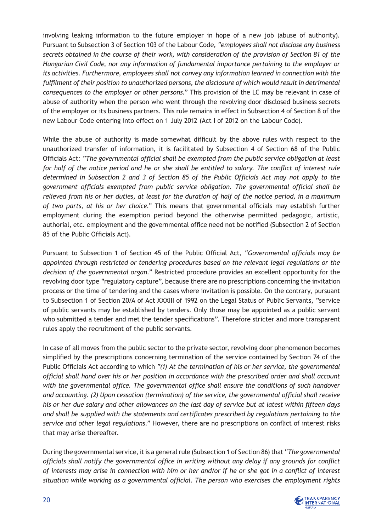involving leaking information to the future employer in hope of a new job (abuse of authority). Pursuant to Subsection 3 of Section 103 of the Labour Code*, "employees shall not disclose any business secrets obtained in the course of their work, with consideration of the provision of Section 81 of the Hungarian Civil Code, nor any information of fundamental importance pertaining to the employer or its activities. Furthermore, employees shall not convey any information learned in connection with the fulfilment of their position to unauthorized persons, the disclosure of which would result in detrimental consequences to the employer or other persons."* This provision of the LC may be relevant in case of abuse of authority when the person who went through the revolving door disclosed business secrets of the employer or its business partners. This rule remains in effect in Subsection 4 of Section 8 of the new Labour Code entering into effect on 1 July 2012 (Act I of 2012 on the Labour Code).

While the abuse of authority is made somewhat difficult by the above rules with respect to the unauthorized transfer of information, it is facilitated by Subsection 4 of Section 68 of the Public Officials Act: *"The governmental official shall be exempted from the public service obligation at least for half of the notice period and he or she shall be entitled to salary. The conflict of interest rule determined in Subsection 2 and 3 of Section 85 of the Public Officials Act may not apply to the government officials exempted from public service obligation. The governmental official shall be relieved from his or her duties, at least for the duration of half of the notice period, in a maximum of two parts, at his or her choice."* This means that governmental officials may establish further employment during the exemption period beyond the otherwise permitted pedagogic, artistic, authorial, etc. employment and the governmental office need not be notified (Subsection 2 of Section 85 of the Public Officials Act).

Pursuant to Subsection 1 of Section 45 of the Public Official Act, "*Governmental officials may be appointed through restricted or tendering procedures based on the relevant legal regulations or the decision of the governmental organ.*" Restricted procedure provides an excellent opportunity for the revolving door type "regulatory capture", because there are no prescriptions concerning the invitation process or the time of tendering and the cases where invitation is possible. On the contrary, pursuant to Subsection 1 of Section 20/A of Act XXXIII of 1992 on the Legal Status of Public Servants, "service of public servants may be established by tenders. Only those may be appointed as a public servant who submitted a tender and met the tender specifications". Therefore stricter and more transparent rules apply the recruitment of the public servants.

In case of all moves from the public sector to the private sector, revolving door phenomenon becomes simplified by the prescriptions concerning termination of the service contained by Section 74 of the Public Officials Act according to which "*(1) At the termination of his or her service, the governmental official shall hand over his or her position in accordance with the prescribed order and shall account with the governmental office. The governmental office shall ensure the conditions of such handover and accounting. (2) Upon cessation (termination) of the service, the governmental official shall receive his or her due salary and other allowances on the last day of service but at latest within fifteen days and shall be supplied with the statements and certificates prescribed by regulations pertaining to the service and other legal regulations.*" However, there are no prescriptions on conflict of interest risks that may arise thereafter.

During the governmental service, it is a general rule (Subsection 1 of Section 86) that "*The governmental officials shall notify the governmental office in writing without any delay if any grounds for conflict of interests may arise in connection with him or her and/or if he or she got in a conflict of interest situation while working as a governmental official. The person who exercises the employment rights* 

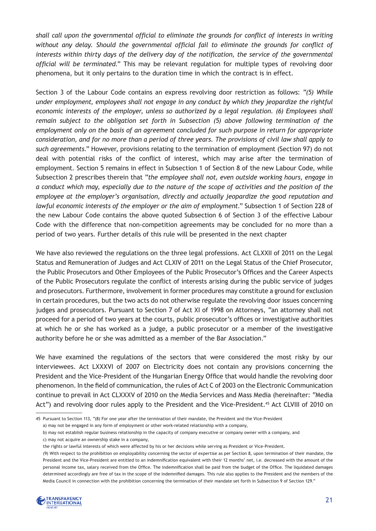*shall call upon the governmental official to eliminate the grounds for conflict of interests in writing without any delay. Should the governmental official fail to eliminate the grounds for conflict of interests within thirty days of the delivery day of the notification, the service of the governmental official will be terminated*." This may be relevant regulation for multiple types of revolving door phenomena, but it only pertains to the duration time in which the contract is in effect.

Section 3 of the Labour Code contains an express revolving door restriction as follows: "*(5) While under employment, employees shall not engage in any conduct by which they jeopardize the rightful economic interests of the employer, unless so authorized by a legal regulation. (6) Employees shall remain subject to the obligation set forth in Subsection (5) above following termination of the employment only on the basis of an agreement concluded for such purpose in return for appropriate consideration, and for no more than a period of three years. The provisions of civil law shall apply to such agreements*." However, provisions relating to the termination of employment (Section 97) do not deal with potential risks of the conflict of interest, which may arise after the termination of employment. Section 5 remains in effect in Subsection 1 of Section 8 of the new Labour Code, while Subsection 2 prescribes therein that "*the employee shall not, even outside working hours, engage in a conduct which may, especially due to the nature of the scope of activities and the position of the employee at the employer's organisation, directly and actually jeopardize the good reputation and lawful economic interests of the employer or the aim of employment*." Subsection 1 of Section 228 of the new Labour Code contains the above quoted Subsection 6 of Section 3 of the effective Labour Code with the difference that non-competition agreements may be concluded for no more than a period of two years. Further details of this rule will be presented in the next chapter

We have also reviewed the regulations on the three legal professions. Act CLXXII of 2011 on the Legal Status and Remuneration of Judges and Act CLXIV of 2011 on the Legal Status of the Chief Prosecutor, the Public Prosecutors and Other Employees of the Public Prosecutor's Offices and the Career Aspects of the Public Prosecutors regulate the conflict of interests arising during the public service of judges and prosecutors. Furthermore, involvement in former procedures may constitute a ground for exclusion in certain procedures, but the two acts do not otherwise regulate the revolving door issues concerning judges and prosecutors. Pursuant to Section 7 of Act XI of 1998 on Attorneys, "an attorney shall not proceed for a period of two years at the courts, public prosecutor's offices or investigative authorities at which he or she has worked as a judge, a public prosecutor or a member of the investigative authority before he or she was admitted as a member of the Bar Association."

We have examined the regulations of the sectors that were considered the most risky by our interviewees. Act LXXXVI of 2007 on Electricity does not contain any provisions concerning the President and the Vice-President of the Hungarian Energy Office that would handle the revolving door phenomenon. In the field of communication, the rules of Act C of 2003 on the Electronic Communication continue to prevail in Act CLXXXV of 2010 on the Media Services and Mass Media (hereinafter: "Media Act") and revolving door rules apply to the President and the Vice-President.<sup>45</sup> Act CLVIII of 2010 on

<sup>(9)</sup> With respect to the prohibition on employability concerning the sector of expertise as per Section 8, upon termination of their mandate, the President and the Vice-President are entitled to an indemnification equivalent with their 12 months' net, i.e. decreased with the amount of the personal income tax, salary received from the Office. The indemnification shall be paid from the budget of the Office. The liquidated damages determined accordingly are free of tax in the scope of the indemnified damages. This rule also applies to the President and the members of the Media Council in connection with the prohibition concerning the termination of their mandate set forth in Subsection 9 of Section 129."



<sup>45</sup> Pursuant to Section 113, "(8) For one year after the termination of their mandate, the President and the Vice-President

a) may not be engaged in any form of employment or other work-related relationship with a company,

b) may not establish regular business relationship in the capacity of company executive or company owner with a company, and c) may not acquire an ownership stake in a company,

the rights or lawful interests of which were affected by his or her decisions while serving as President or Vice-President.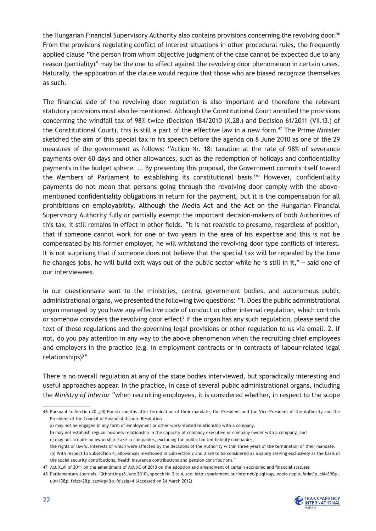the Hungarian Financial Supervisory Authority also contains provisions concerning the revolving door.<sup>46</sup> From the provisions regulating conflict of interest situations in other procedural rules, the frequently applied clause "the person from whom objective judgment of the case cannot be expected due to any reason (partiality)" may be the one to affect against the revolving door phenomenon in certain cases. Naturally, the application of the clause would require that those who are biased recognize themselves as such.

The financial side of the revolving door regulation is also important and therefore the relevant statutory provisions must also be mentioned. Although the Constitutional Court annulled the provisions concerning the windfall tax of 98% twice (Decision 184/2010 (X.28.) and Decision 61/2011 (VII.13.) of the Constitutional Court), this is still a part of the effective law in a new form.<sup>47</sup> The Prime Minister sketched the aim of this special tax in his speech before the agenda on 8 June 2010 as one of the 29 measures of the government as follows: "Action Nr. 18: taxation at the rate of 98% of severance payments over 60 days and other allowances, such as the redemption of holidays and confidentiality payments in the budget sphere. ... By presenting this proposal, the Government commits itself toward the Members of Parliament to establishing its constitutional basis."48 However, confidentiality payments do not mean that persons going through the revolving door comply with the abovementioned confidentiality obligations in return for the payment, but it is the compensation for all prohibitions on employability. Although the Media Act and the Act on the Hungarian Financial Supervisory Authority fully or partially exempt the important decision-makers of both Authorities of this tax, it still remains in effect in other fields. "It is not realistic to presume, regardless of position, that if someone cannot work for one or two years in the area of his expertise and this is not be compensated by his former employer, he will withstand the revolving door type conflicts of interest. It is not surprising that if someone does not believe that the special tax will be repealed by the time he changes jobs, he will build exit ways out of the public sector while he is still in it," – said one of our interviewees.

In our questionnaire sent to the ministries, central government bodies, and autonomous public administrational organs, we presented the following two questions: "1. Does the public administrational organ managed by you have any effective code of conduct or other internal regulation, which controls or somehow considers the revolving door effect? If the organ has any such regulation, please send the text of these regulations and the governing legal provisions or other regulation to us via email. 2. If not, do you pay attention in any way to the above phenomenon when the recruiting chief employees and employers in the practice (e.g. in employment contracts or in contracts of labour-related legal relationships)?"

There is no overall regulation at any of the state bodies interviewed, but sporadically interesting and useful approaches appear. In the practice, in case of several public administrational organs, including the *Ministry of Interior* "when recruiting employees, it is considered whether, in respect to the scope

<sup>48</sup> Parliamentary Journals, 13th sitting (8 June 2010), speech Nr. 2 to 4, see: http://parlament.hu/internet/plsql/ogy\_naplo.naplo\_fadat?p\_ckl=39&p\_ uln=13&p\_felsz=2&p\_szoveg=&p\_felszig=4 (Accessed on 24 March 2012)



<sup>46</sup> Pursuant to Section 20 "(4) For six months after termination of their mandate, the President and the Vice-President of the Authority and the President of the Council of Financial Dispute Resolution

a) may not be engaged in any form of employment or other work-related relationship with a company,

b) may not establish regular business relationship in the capacity of company executive or company owner with a company, and

c) may not acquire an ownership stake in companies, excluding the public limited-liability companies,

the rights or lawful interests of which were affected by the decisions of the Authority within three years of the termination of their mandate. (5) With respect to Subsection 4, allowances mentioned in Subsection 2 and 3 are to be considered as a salary serving exclusively as the basis of the social security contributions, health insurance contributions and pension contributions."

<sup>47</sup> Act XLVI of 2011 on the amendment of Act XC of 2010 on the adoption and amendment of certain economic and financial statutes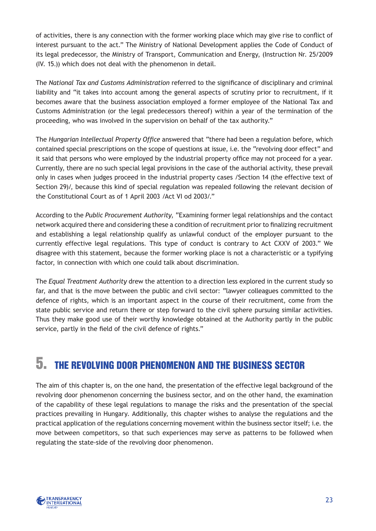of activities, there is any connection with the former working place which may give rise to conflict of interest pursuant to the act." The Ministry of National Development applies the Code of Conduct of its legal predecessor, the Ministry of Transport, Communication and Energy, (Instruction Nr. 25/2009 (IV. 15.)) which does not deal with the phenomenon in detail.

The *National Tax and Customs Administration* referred to the significance of disciplinary and criminal liability and "it takes into account among the general aspects of scrutiny prior to recruitment, if it becomes aware that the business association employed a former employee of the National Tax and Customs Administration (or the legal predecessors thereof) within a year of the termination of the proceeding, who was involved in the supervision on behalf of the tax authority."

The *Hungarian Intellectual Property Office* answered that "there had been a regulation before, which contained special prescriptions on the scope of questions at issue, i.e. the "revolving door effect" and it said that persons who were employed by the industrial property office may not proceed for a year. Currently, there are no such special legal provisions in the case of the authorial activity, these prevail only in cases when judges proceed in the industrial property cases /Section 14 (the effective text of Section 29)/, because this kind of special regulation was repealed following the relevant decision of the Constitutional Court as of 1 April 2003 /Act VI od 2003/."

According to the *Public Procurement Authority*, "Examining former legal relationships and the contact network acquired there and considering these a condition of recruitment prior to finalizing recruitment and establishing a legal relationship qualify as unlawful conduct of the employer pursuant to the currently effective legal regulations. This type of conduct is contrary to Act CXXV of 2003." We disagree with this statement, because the former working place is not a characteristic or a typifying factor, in connection with which one could talk about discrimination.

The *Equal Treatment Authority* drew the attention to a direction less explored in the current study so far, and that is the move between the public and civil sector: "lawyer colleagues committed to the defence of rights, which is an important aspect in the course of their recruitment, come from the state public service and return there or step forward to the civil sphere pursuing similar activities. Thus they make good use of their worthy knowledge obtained at the Authority partly in the public service, partly in the field of the civil defence of rights."

## 5. The Revolving Door Phenomenon and the Business Sector

The aim of this chapter is, on the one hand, the presentation of the effective legal background of the revolving door phenomenon concerning the business sector, and on the other hand, the examination of the capability of these legal regulations to manage the risks and the presentation of the special practices prevailing in Hungary. Additionally, this chapter wishes to analyse the regulations and the practical application of the regulations concerning movement within the business sector itself; i.e. the move between competitors, so that such experiences may serve as patterns to be followed when regulating the state-side of the revolving door phenomenon.

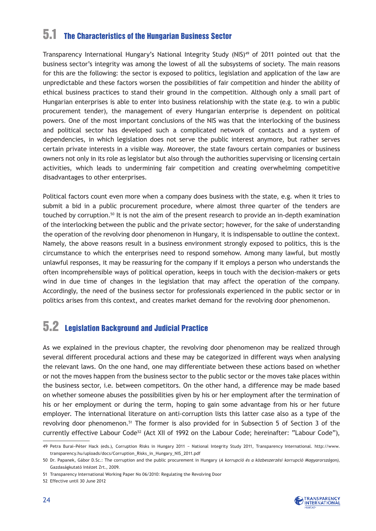### 5.1 The Characteristics of the Hungarian Business Sector

Transparency International Hungary's National Integrity Study (NIS)<sup>49</sup> of 2011 pointed out that the business sector's integrity was among the lowest of all the subsystems of society. The main reasons for this are the following: the sector is exposed to politics, legislation and application of the law are unpredictable and these factors worsen the possibilities of fair competition and hinder the ability of ethical business practices to stand their ground in the competition. Although only a small part of Hungarian enterprises is able to enter into business relationship with the state (e.g. to win a public procurement tender), the management of every Hungarian enterprise is dependent on political powers. One of the most important conclusions of the NIS was that the interlocking of the business and political sector has developed such a complicated network of contacts and a system of dependencies, in which legislation does not serve the public interest anymore, but rather serves certain private interests in a visible way. Moreover, the state favours certain companies or business owners not only in its role as legislator but also through the authorities supervising or licensing certain activities, which leads to undermining fair competition and creating overwhelming competitive disadvantages to other enterprises.

Political factors count even more when a company does business with the state, e.g. when it tries to submit a bid in a public procurement procedure, where almost three quarter of the tenders are touched by corruption.<sup>50</sup> It is not the aim of the present research to provide an in-depth examination of the interlocking between the public and the private sector; however, for the sake of understanding the operation of the revolving door phenomenon in Hungary, it is indispensable to outline the context. Namely, the above reasons result in a business environment strongly exposed to politics, this is the circumstance to which the enterprises need to respond somehow. Among many lawful, but mostly unlawful responses, it may be reassuring for the company if it employs a person who understands the often incomprehensible ways of political operation, keeps in touch with the decision-makers or gets wind in due time of changes in the legislation that may affect the operation of the company. Accordingly, the need of the business sector for professionals experienced in the public sector or in politics arises from this context, and creates market demand for the revolving door phenomenon.

### 5.2 Legislation Background and Judicial Practice

As we explained in the previous chapter, the revolving door phenomenon may be realized through several different procedural actions and these may be categorized in different ways when analysing the relevant laws. On the one hand, one may differentiate between these actions based on whether or not the moves happen from the business sector to the public sector or the moves take places within the business sector, i.e. between competitors. On the other hand, a difference may be made based on whether someone abuses the possibilities given by his or her employment after the termination of his or her employment or during the term, hoping to gain some advantage from his or her future employer. The international literature on anti-corruption lists this latter case also as a type of the revolving door phenomenon.<sup>51</sup> The former is also provided for in Subsection 5 of Section 3 of the currently effective Labour Code<sup>52</sup> (Act XII of 1992 on the Labour Code; hereinafter: "Labour Code"),



<sup>49</sup> Petra Burai−Péter Hack (eds.), Corruption Risks in Hungary 2011 − National Integrity Study 2011, Transparency International. http://www. transparency.hu/uploads/docs/Corruption\_Risks\_in\_Hungary\_NIS\_2011.pdf

<sup>50</sup> Dr. Papanek, Gábor D.Sc.: The corruption and the public procurement in Hungary (*A korrupció és a közbeszerzési korrupció Magyarországon),*  Gazdaságkutató Intézet Zrt., 2009.

<sup>51</sup> Transparency International Working Paper No 06/2010: Regulating the Revolving Door

<sup>52</sup> Effective until 30 June 2012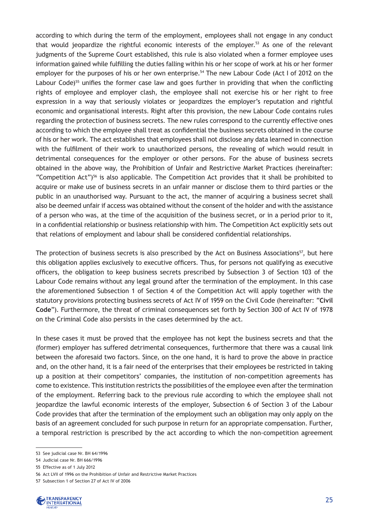according to which during the term of the employment, employees shall not engage in any conduct that would jeopardize the rightful economic interests of the employer.<sup>53</sup> As one of the relevant judgments of the Supreme Court established, this rule is also violated when a former employee uses information gained while fulfilling the duties falling within his or her scope of work at his or her former employer for the purposes of his or her own enterprise.<sup>54</sup> The new Labour Code (Act I of 2012 on the Labour Code)<sup>55</sup> unifies the former case law and goes further in providing that when the conflicting rights of employee and employer clash, the employee shall not exercise his or her right to free expression in a way that seriously violates or jeopardizes the employer's reputation and rightful economic and organisational interests. Right after this provision, the new Labour Code contains rules regarding the protection of business secrets. The new rules correspond to the currently effective ones according to which the employee shall treat as confidential the business secrets obtained in the course of his or her work. The act establishes that employees shall not disclose any data learned in connection with the fulfilment of their work to unauthorized persons, the revealing of which would result in detrimental consequences for the employer or other persons. For the abuse of business secrets obtained in the above way, the Prohibition of Unfair and Restrictive Market Practices (hereinafter: "Competition Act")<sup>56</sup> is also applicable. The Competition Act provides that it shall be prohibited to acquire or make use of business secrets in an unfair manner or disclose them to third parties or the public in an unauthorised way. Pursuant to the act, the manner of acquiring a business secret shall also be deemed unfair if access was obtained without the consent of the holder and with the assistance of a person who was, at the time of the acquisition of the business secret, or in a period prior to it, in a confidential relationship or business relationship with him. The Competition Act explicitly sets out that relations of employment and labour shall be considered confidential relationships.

The protection of business secrets is also prescribed by the Act on Business Associations<sup>57</sup>, but here this obligation applies exclusively to executive officers. Thus, for persons not qualifying as executive officers, the obligation to keep business secrets prescribed by Subsection 3 of Section 103 of the Labour Code remains without any legal ground after the termination of the employment. In this case the aforementioned Subsection 1 of Section 4 of the Competition Act will apply together with the statutory provisions protecting business secrets of Act IV of 1959 on the Civil Code (hereinafter: "**Civil Code**"). Furthermore, the threat of criminal consequences set forth by Section 300 of Act IV of 1978 on the Criminal Code also persists in the cases determined by the act.

In these cases it must be proved that the employee has not kept the business secrets and that the (former) employer has suffered detrimental consequences, furthermore that there was a causal link between the aforesaid two factors. Since, on the one hand, it is hard to prove the above in practice and, on the other hand, it is a fair need of the enterprises that their employees be restricted in taking up a position at their competitors' companies, the institution of non-competition agreements has come to existence. This institution restricts the possibilities of the employee even after the termination of the employment. Referring back to the previous rule according to which the employee shall not jeopardize the lawful economic interests of the employer, Subsection 6 of Section 3 of the Labour Code provides that after the termination of the employment such an obligation may only apply on the basis of an agreement concluded for such purpose in return for an appropriate compensation. Further, a temporal restriction is prescribed by the act according to which the non-competition agreement

<sup>57</sup> Subsection 1 of Section 27 of Act IV of 2006



<sup>53</sup> See judicial case Nr. BH 64/1996

<sup>54</sup> Judicial case Nr. BH 666/1996

<sup>55</sup> Effective as of 1 July 2012

<sup>56</sup> Act LVII of 1996 on the Prohibition of Unfair and Restrictive Market Practices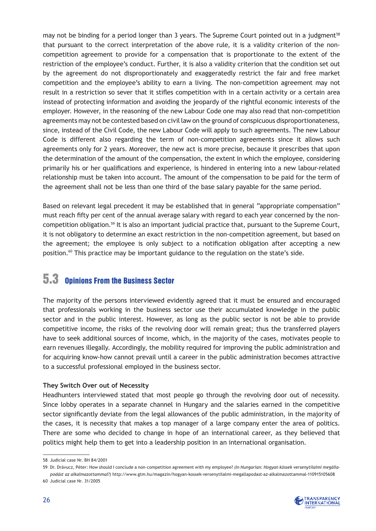may not be binding for a period longer than 3 years. The Supreme Court pointed out in a judgment<sup>58</sup> that pursuant to the correct interpretation of the above rule, it is a validity criterion of the noncompetition agreement to provide for a compensation that is proportionate to the extent of the restriction of the employee's conduct. Further, it is also a validity criterion that the condition set out by the agreement do not disproportionately and exaggeratedly restrict the fair and free market competition and the employee's ability to earn a living. The non-competition agreement may not result in a restriction so sever that it stifles competition with in a certain activity or a certain area instead of protecting information and avoiding the jeopardy of the rightful economic interests of the employer. However, in the reasoning of the new Labour Code one may also read that non-competition agreements may not be contested based on civil law on the ground of conspicuous disproportionateness, since, instead of the Civil Code, the new Labour Code will apply to such agreements. The new Labour Code is different also regarding the term of non-competition agreements since it allows such agreements only for 2 years. Moreover, the new act is more precise, because it prescribes that upon the determination of the amount of the compensation, the extent in which the employee, considering primarily his or her qualifications and experience, is hindered in entering into a new labour-related relationship must be taken into account. The amount of the compensation to be paid for the term of the agreement shall not be less than one third of the base salary payable for the same period.

Based on relevant legal precedent it may be established that in general "appropriate compensation" must reach fifty per cent of the annual average salary with regard to each year concerned by the noncompetition obligation.59 It is also an important judicial practice that, pursuant to the Supreme Court, it is not obligatory to determine an exact restriction in the non-competition agreement, but based on the agreement; the employee is only subject to a notification obligation after accepting a new position.60 This practice may be important guidance to the regulation on the state's side.

### 5.3 Opinions From the Business Sector

The majority of the persons interviewed evidently agreed that it must be ensured and encouraged that professionals working in the business sector use their accumulated knowledge in the public sector and in the public interest. However, as long as the public sector is not be able to provide competitive income, the risks of the revolving door will remain great; thus the transferred players have to seek additional sources of income, which, in the majority of the cases, motivates people to earn revenues illegally. Accordingly, the mobility required for improving the public administration and for acquiring know-how cannot prevail until a career in the public administration becomes attractive to a successful professional employed in the business sector.

#### **They Switch Over out of Necessity**

Headhunters interviewed stated that most people go through the revolving door out of necessity. Since lobby operates in a separate channel in Hungary and the salaries earned in the competitive sector significantly deviate from the legal allowances of the public administration, in the majority of the cases, it is necessity that makes a top manager of a large company enter the area of politics. There are some who decided to change in hope of an international career, as they believed that politics might help them to get into a leadership position in an international organisation.

<sup>59</sup> Dr. Drávucz, Péter: How should I conclude a non-competition agreement with my employee? *(In Hungarian: Hogyan kössek versenytilalmi megállapodást az alkalmazottammal?)* http://www.gtm.hu/magazin/hogyan-kossek-versenytilalmi-megallapodast-az-alkalmazottammal-110915105608 60 Judicial case Nr. 31/2005



<sup>58</sup> Judicial case Nr. BH 84/2001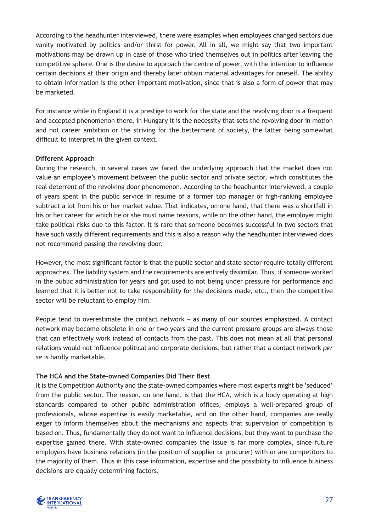According to the headhunter interviewed, there were examples when employees changed sectors due vanity motivated by politics and/or thirst for power. All in all, we might say that two important motivations may be drawn up in case of those who tried themselves out in politics after leaving the competitive sphere. One is the desire to approach the centre of power, with the intention to influence certain decisions at their origin and thereby later obtain material advantages for oneself. The ability to obtain information is the other important motivation, since that is also a form of power that may be marketed.

For instance while in England it is a prestige to work for the state and the revolving door is a frequent and accepted phenomenon there, in Hungary it is the necessity that sets the revolving door in motion and not career ambition or the striving for the betterment of society, the latter being somewhat difficult to interpret in the given context.

#### **Different Approach**

During the research, in several cases we faced the underlying approach that the market does not value an employee's movement between the public sector and private sector, which constitutes the real deterrent of the revolving door phenomenon. According to the headhunter interviewed, a couple of years spent in the public service in resume of a former top manager or high-ranking employee subtract a lot from his or her market value. That indicates, on one hand, that there was a shortfall in his or her career for which he or she must name reasons, while on the other hand, the employer might take political risks due to this factor. It is rare that someone becomes successful in two sectors that have such vastly different requirements and this is also a reason why the headhunter interviewed does not recommend passing the revolving door.

However, the most significant factor is that the public sector and state sector require totally different approaches. The liability system and the requirements are entirely dissimilar. Thus, if someone worked in the public administration for years and got used to not being under pressure for performance and learned that it is better not to take responsibility for the decisions made, etc., then the competitive sector will be reluctant to employ him.

People tend to overestimate the contact network – as many of our sources emphasized. A contact network may become obsolete in one or two years and the current pressure groups are always those that can effectively work instead of contacts from the past. This does not mean at all that personal relations would not influence political and corporate decisions, but rather that a contact network *per se* is hardly marketable.

#### **The HCA and the State-owned Companies Did Their Best**

It is the Competition Authority and the state-owned companies where most experts might be 'seduced' from the public sector. The reason, on one hand, is that the HCA, which is a body operating at high standards compared to other public administration offices, employs a well-prepared group of professionals, whose expertise is easily marketable, and on the other hand, companies are really eager to inform themselves about the mechanisms and aspects that supervision of competition is based on. Thus, fundamentally they do not want to influence decisions, but they want to purchase the expertise gained there. With state-owned companies the issue is far more complex, since future employers have business relations (in the position of supplier or procurer) with or are competitors to the majority of them. Thus in this case information, expertise and the possibility to influence business decisions are equally determining factors.

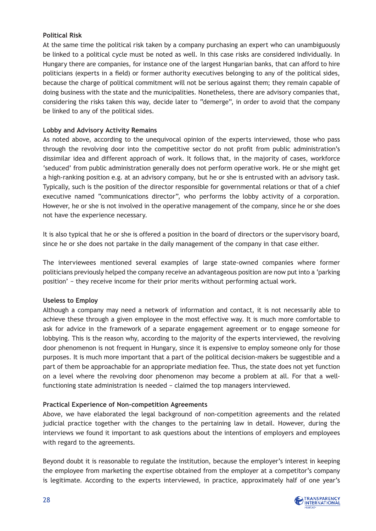#### **Political Risk**

At the same time the political risk taken by a company purchasing an expert who can unambiguously be linked to a political cycle must be noted as well. In this case risks are considered individually. In Hungary there are companies, for instance one of the largest Hungarian banks, that can afford to hire politicians (experts in a field) or former authority executives belonging to any of the political sides, because the charge of political commitment will not be serious against them; they remain capable of doing business with the state and the municipalities. Nonetheless, there are advisory companies that, considering the risks taken this way, decide later to "demerge", in order to avoid that the company be linked to any of the political sides.

#### **Lobby and Advisory Activity Remains**

As noted above, according to the unequivocal opinion of the experts interviewed, those who pass through the revolving door into the competitive sector do not profit from public administration's dissimilar idea and different approach of work. It follows that, in the majority of cases, workforce 'seduced' from public administration generally does not perform operative work. He or she might get a high-ranking position e.g. at an advisory company, but he or she is entrusted with an advisory task. Typically, such is the position of the director responsible for governmental relations or that of a chief executive named "communications director", who performs the lobby activity of a corporation. However, he or she is not involved in the operative management of the company, since he or she does not have the experience necessary.

It is also typical that he or she is offered a position in the board of directors or the supervisory board, since he or she does not partake in the daily management of the company in that case either.

The interviewees mentioned several examples of large state-owned companies where former politicians previously helped the company receive an advantageous position are now put into a 'parking position' − they receive income for their prior merits without performing actual work.

#### **Useless to Employ**

Although a company may need a network of information and contact, it is not necessarily able to achieve these through a given employee in the most effective way. It is much more comfortable to ask for advice in the framework of a separate engagement agreement or to engage someone for lobbying. This is the reason why, according to the majority of the experts interviewed, the revolving door phenomenon is not frequent in Hungary, since it is expensive to employ someone only for those purposes. It is much more important that a part of the political decision-makers be suggestible and a part of them be approachable for an appropriate mediation fee. Thus, the state does not yet function on a level where the revolving door phenomenon may become a problem at all. For that a wellfunctioning state administration is needed − claimed the top managers interviewed.

#### **Practical Experience of Non-competition Agreements**

Above, we have elaborated the legal background of non-competition agreements and the related judicial practice together with the changes to the pertaining law in detail. However, during the interviews we found it important to ask questions about the intentions of employers and employees with regard to the agreements.

Beyond doubt it is reasonable to regulate the institution, because the employer's interest in keeping the employee from marketing the expertise obtained from the employer at a competitor's company is legitimate. According to the experts interviewed, in practice, approximately half of one year's

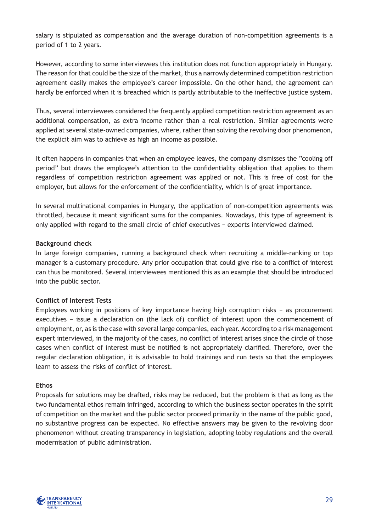salary is stipulated as compensation and the average duration of non-competition agreements is a period of 1 to 2 years.

However, according to some interviewees this institution does not function appropriately in Hungary. The reason for that could be the size of the market, thus a narrowly determined competition restriction agreement easily makes the employee's career impossible. On the other hand, the agreement can hardly be enforced when it is breached which is partly attributable to the ineffective justice system.

Thus, several interviewees considered the frequently applied competition restriction agreement as an additional compensation, as extra income rather than a real restriction. Similar agreements were applied at several state-owned companies, where, rather than solving the revolving door phenomenon, the explicit aim was to achieve as high an income as possible.

It often happens in companies that when an employee leaves, the company dismisses the "cooling off period" but draws the employee's attention to the confidentiality obligation that applies to them regardless of competition restriction agreement was applied or not. This is free of cost for the employer, but allows for the enforcement of the confidentiality, which is of great importance.

In several multinational companies in Hungary, the application of non-competition agreements was throttled, because it meant significant sums for the companies. Nowadays, this type of agreement is only applied with regard to the small circle of chief executives − experts interviewed claimed.

#### **Background check**

In large foreign companies, running a background check when recruiting a middle-ranking or top manager is a customary procedure. Any prior occupation that could give rise to a conflict of interest can thus be monitored. Several interviewees mentioned this as an example that should be introduced into the public sector.

#### **Conflict of Interest Tests**

Employees working in positions of key importance having high corruption risks − as procurement executives − issue a declaration on (the lack of) conflict of interest upon the commencement of employment, or, as is the case with several large companies, each year. According to a risk management expert interviewed, in the majority of the cases, no conflict of interest arises since the circle of those cases when conflict of interest must be notified is not appropriately clarified. Therefore, over the regular declaration obligation, it is advisable to hold trainings and run tests so that the employees learn to assess the risks of conflict of interest.

#### **Ethos**

Proposals for solutions may be drafted, risks may be reduced, but the problem is that as long as the two fundamental ethos remain infringed, according to which the business sector operates in the spirit of competition on the market and the public sector proceed primarily in the name of the public good, no substantive progress can be expected. No effective answers may be given to the revolving door phenomenon without creating transparency in legislation, adopting lobby regulations and the overall modernisation of public administration.

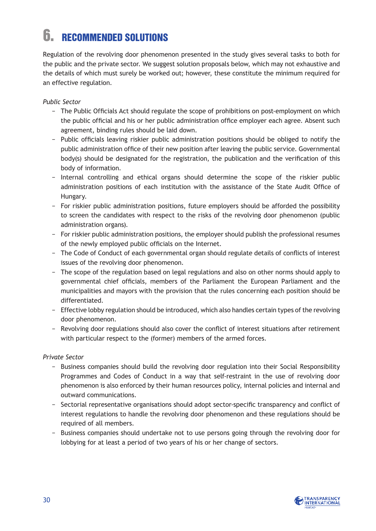## 6. Recommended Solutions

Regulation of the revolving door phenomenon presented in the study gives several tasks to both for the public and the private sector. We suggest solution proposals below, which may not exhaustive and the details of which must surely be worked out; however, these constitute the minimum required for an effective regulation.

#### *Public Sector*

- − The Public Officials Act should regulate the scope of prohibitions on post-employment on which the public official and his or her public administration office employer each agree. Absent such agreement, binding rules should be laid down.
- − Public officials leaving riskier public administration positions should be obliged to notify the public administration office of their new position after leaving the public service. Governmental body(s) should be designated for the registration, the publication and the verification of this body of information.
- − Internal controlling and ethical organs should determine the scope of the riskier public administration positions of each institution with the assistance of the State Audit Office of Hungary.
- − For riskier public administration positions, future employers should be afforded the possibility to screen the candidates with respect to the risks of the revolving door phenomenon (public administration organs).
- − For riskier public administration positions, the employer should publish the professional resumes of the newly employed public officials on the Internet.
- − The Code of Conduct of each governmental organ should regulate details of conflicts of interest issues of the revolving door phenomenon.
- − The scope of the regulation based on legal regulations and also on other norms should apply to governmental chief officials, members of the Parliament the European Parliament and the municipalities and mayors with the provision that the rules concerning each position should be differentiated.
- − Effective lobby regulation should be introduced, which also handles certain types of the revolving door phenomenon.
- − Revolving door regulations should also cover the conflict of interest situations after retirement with particular respect to the (former) members of the armed forces.

#### *Private Sector*

- − Business companies should build the revolving door regulation into their Social Responsibility Programmes and Codes of Conduct in a way that self-restraint in the use of revolving door phenomenon is also enforced by their human resources policy, internal policies and internal and outward communications.
- − Sectorial representative organisations should adopt sector-specific transparency and conflict of interest regulations to handle the revolving door phenomenon and these regulations should be required of all members.
- − Business companies should undertake not to use persons going through the revolving door for lobbying for at least a period of two years of his or her change of sectors.

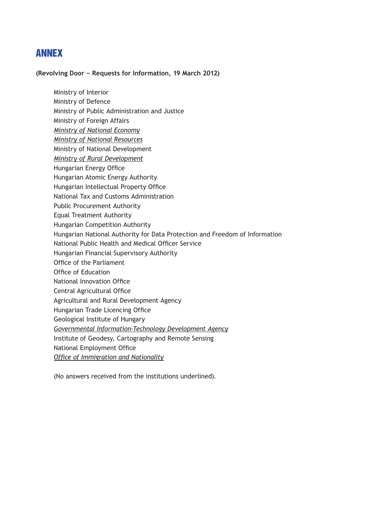### ANNEX

**(Revolving Door − Requests for Information, 19 March 2012)**

Ministry of Interior Ministry of Defence Ministry of Public Administration and Justice Ministry of Foreign Affairs *Ministry of National Economy Ministry of National Resources* Ministry of National Development *Ministry of Rural Development* Hungarian Energy Office Hungarian Atomic Energy Authority Hungarian Intellectual Property Office National Tax and Customs Administration Public Procurement Authority Equal Treatment Authority Hungarian Competition Authority Hungarian National Authority for Data Protection and Freedom of Information National Public Health and Medical Officer Service Hungarian Financial Supervisory Authority Office of the Parliament Office of Education National Innovation Office Central Agricultural Office Agricultural and Rural Development Agency Hungarian Trade Licencing Office Geological Institute of Hungary *Governmental Information-Technology Development Agency* Institute of Geodesy, Cartography and Remote Sensing National Employment Office *Office of Immigration and Nationality*

(No answers received from the institutions underlined).